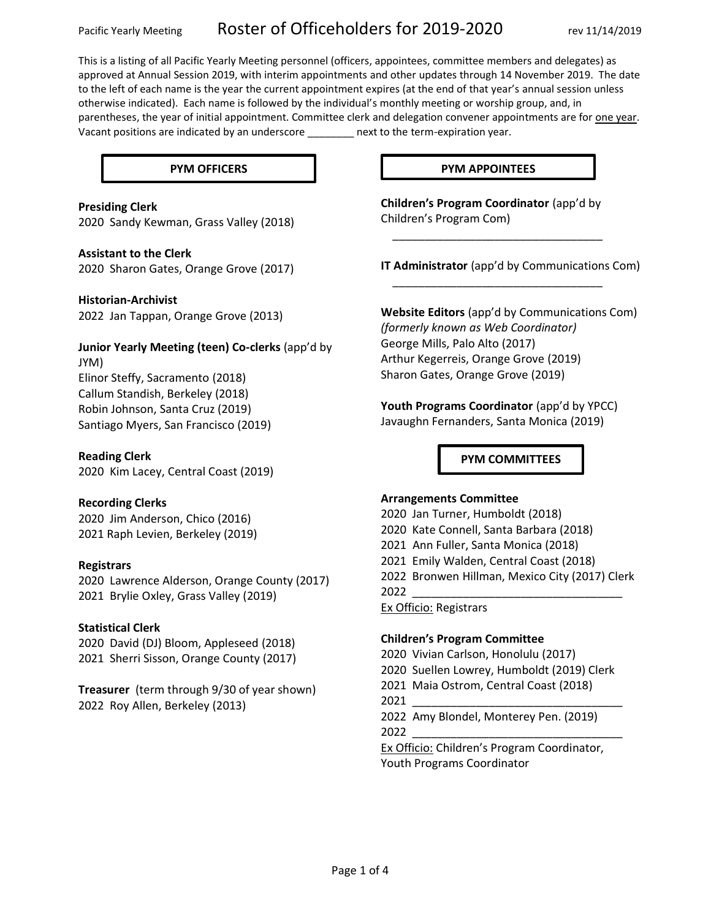This is a listing of all Pacific Yearly Meeting personnel (officers, appointees, committee members and delegates) as approved at Annual Session 2019, with interim appointments and other updates through 14 November 2019. The date to the left of each name is the year the current appointment expires (at the end of that year's annual session unless otherwise indicated). Each name is followed by the individual's monthly meeting or worship group, and, in parentheses, the year of initial appointment. Committee clerk and delegation convener appointments are for one year. Vacant positions are indicated by an underscore \_\_\_\_\_\_\_\_ next to the term-expiration year.

## **Presiding Clerk**

2020 Sandy Kewman, Grass Valley (2018)

#### **Assistant to the Clerk**

2020 Sharon Gates, Orange Grove (2017)

#### **Historian-Archivist**

2022 Jan Tappan, Orange Grove (2013)

## **Junior Yearly Meeting (teen) Co-clerks** (app'd by JYM)

Elinor Steffy, Sacramento (2018) Callum Standish, Berkeley (2018) Robin Johnson, Santa Cruz (2019) Santiago Myers, San Francisco (2019)

#### **Reading Clerk**

2020 Kim Lacey, Central Coast (2019)

#### **Recording Clerks**

2020 Jim Anderson, Chico (2016) 2021 Raph Levien, Berkeley (2019)

#### **Registrars**

2020 Lawrence Alderson, Orange County (2017) 2021 Brylie Oxley, Grass Valley (2019)

#### **Statistical Clerk**

2020 David (DJ) Bloom, Appleseed (2018) 2021 Sherri Sisson, Orange County (2017)

**Treasurer** (term through 9/30 of year shown) 2022 Roy Allen, Berkeley (2013)

#### **PYM OFFICERS PYM APPOINTEES**

**Children's Program Coordinator** (app'd by Children's Program Com)

\_\_\_\_\_\_\_\_\_\_\_\_\_\_\_\_\_\_\_\_\_\_\_\_\_\_\_\_\_\_\_\_\_

\_\_\_\_\_\_\_\_\_\_\_\_\_\_\_\_\_\_\_\_\_\_\_\_\_\_\_\_\_\_\_\_\_

**IT Administrator** (app'd by Communications Com)

**Website Editors** (app'd by Communications Com) *(formerly known as Web Coordinator)* George Mills, Palo Alto (2017) Arthur Kegerreis, Orange Grove (2019) Sharon Gates, Orange Grove (2019)

Youth Programs Coordinator (app'd by YPCC) Javaughn Fernanders, Santa Monica (2019)

**PYM COMMITTEES**

#### **Arrangements Committee**

2020 Jan Turner, Humboldt (2018) 2020 Kate Connell, Santa Barbara (2018) 2021 Ann Fuller, Santa Monica (2018) 2021 Emily Walden, Central Coast (2018) 2022 Bronwen Hillman, Mexico City (2017) Clerk 2022 \_\_\_\_\_\_\_\_\_\_\_\_\_\_\_\_\_\_\_\_\_\_\_\_\_\_\_\_\_\_\_\_\_ Ex Officio: Registrars

#### **Children's Program Committee**

2020 Vivian Carlson, Honolulu (2017) 2020 Suellen Lowrey, Humboldt (2019) Clerk 2021 Maia Ostrom, Central Coast (2018) 2021 \_\_\_\_\_\_\_\_\_\_\_\_\_\_\_\_\_\_\_\_\_\_\_\_\_\_\_\_\_\_\_\_\_ 2022 Amy Blondel, Monterey Pen. (2019) 2022 \_\_\_\_\_\_\_\_\_\_\_\_\_\_\_\_\_\_\_\_\_\_\_\_\_\_\_\_\_\_\_\_\_

Ex Officio: Children's Program Coordinator, Youth Programs Coordinator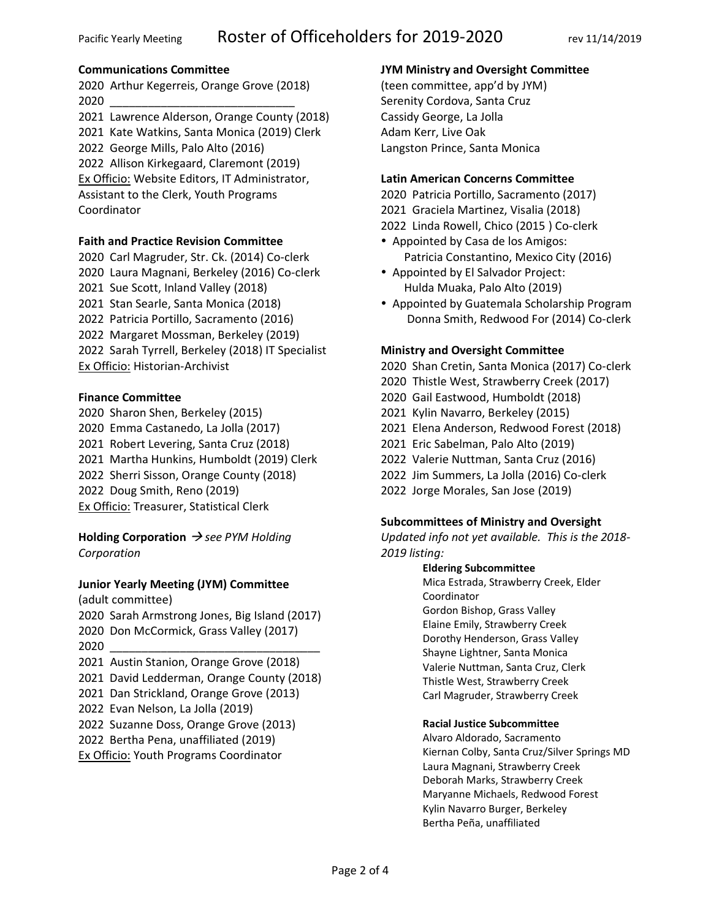## **Communications Committee**

2020 Arthur Kegerreis, Orange Grove (2018) 2020 \_\_\_\_\_\_\_\_\_\_\_\_\_\_\_\_\_\_\_\_\_\_\_\_\_\_\_\_\_

2021 Lawrence Alderson, Orange County (2018) 2021 Kate Watkins, Santa Monica (2019) Clerk 2022 George Mills, Palo Alto (2016) 2022 Allison Kirkegaard, Claremont (2019) Ex Officio: Website Editors, IT Administrator, Assistant to the Clerk, Youth Programs Coordinator

## **Faith and Practice Revision Committee**

2020 Carl Magruder, Str. Ck. (2014) Co-clerk 2020 Laura Magnani, Berkeley (2016) Co-clerk 2021 Sue Scott, Inland Valley (2018) 2021 Stan Searle, Santa Monica (2018) 2022 Patricia Portillo, Sacramento (2016) 2022 Margaret Mossman, Berkeley (2019) 2022 Sarah Tyrrell, Berkeley (2018) IT Specialist Ex Officio: Historian-Archivist

## **Finance Committee**

2020 Sharon Shen, Berkeley (2015) 2020 Emma Castanedo, La Jolla (2017) 2021 Robert Levering, Santa Cruz (2018) 2021 Martha Hunkins, Humboldt (2019) Clerk 2022 Sherri Sisson, Orange County (2018) 2022 Doug Smith, Reno (2019) Ex Officio: Treasurer, Statistical Clerk

**Holding Corporation** → *see PYM Holding Corporation*

## **Junior Yearly Meeting (JYM) Committee**

(adult committee)

2020 Sarah Armstrong Jones, Big Island (2017) 2020 Don McCormick, Grass Valley (2017) 2020 \_\_\_\_\_\_\_\_\_\_\_\_\_\_\_\_\_\_\_\_\_\_\_\_\_\_\_\_\_\_\_\_\_

- 2021 Austin Stanion, Orange Grove (2018)
- 2021 David Ledderman, Orange County (2018)
- 2021 Dan Strickland, Orange Grove (2013)
- 2022 Evan Nelson, La Jolla (2019)
- 2022 Suzanne Doss, Orange Grove (2013)
- 2022 Bertha Pena, unaffiliated (2019)
- **Ex Officio: Youth Programs Coordinator**

## **JYM Ministry and Oversight Committee**

(teen committee, app'd by JYM) Serenity Cordova, Santa Cruz Cassidy George, La Jolla Adam Kerr, Live Oak Langston Prince, Santa Monica

## **Latin American Concerns Committee**

2020 Patricia Portillo, Sacramento (2017) 2021 Graciela Martinez, Visalia (2018) 2022 Linda Rowell, Chico (2015 ) Co-clerk

- Appointed by Casa de los Amigos: Patricia Constantino, Mexico City (2016)
- Appointed by El Salvador Project: Hulda Muaka, Palo Alto (2019)
- Appointed by Guatemala Scholarship Program Donna Smith, Redwood For (2014) Co-clerk

## **Ministry and Oversight Committee**

2020 Shan Cretin, Santa Monica (2017) Co-clerk

- 2020 Thistle West, Strawberry Creek (2017)
- 2020 Gail Eastwood, Humboldt (2018)
- 2021 Kylin Navarro, Berkeley (2015)
- 2021 Elena Anderson, Redwood Forest (2018)
- 2021 Eric Sabelman, Palo Alto (2019)
- 2022 Valerie Nuttman, Santa Cruz (2016)
- 2022 Jim Summers, La Jolla (2016) Co-clerk
- 2022 Jorge Morales, San Jose (2019)

## **Subcommittees of Ministry and Oversight**

*Updated info not yet available. This is the 2018- 2019 listing:*

#### **Eldering Subcommittee**

Mica Estrada, Strawberry Creek, Elder Coordinator Gordon Bishop, Grass Valley Elaine Emily, Strawberry Creek Dorothy Henderson, Grass Valley Shayne Lightner, Santa Monica Valerie Nuttman, Santa Cruz, Clerk Thistle West, Strawberry Creek Carl Magruder, Strawberry Creek

#### **Racial Justice Subcommittee**

Alvaro Aldorado, Sacramento Kiernan Colby, Santa Cruz/Silver Springs MD Laura Magnani, Strawberry Creek Deborah Marks, Strawberry Creek Maryanne Michaels, Redwood Forest Kylin Navarro Burger, Berkeley Bertha Peña, unaffiliated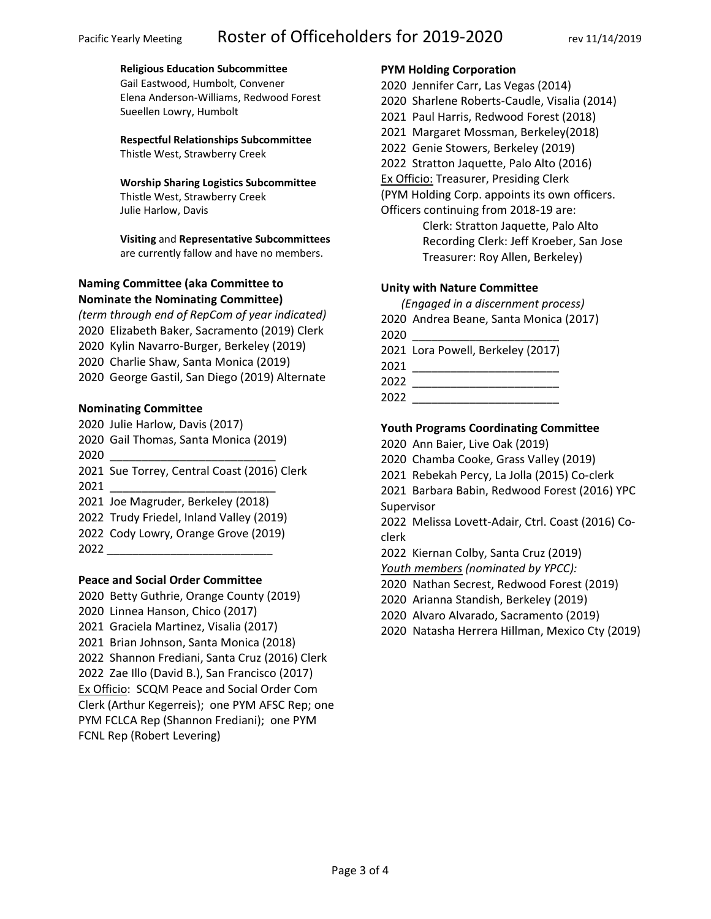## **Religious Education Subcommittee**

Gail Eastwood, Humbolt, Convener Elena Anderson-Williams, Redwood Forest Sueellen Lowry, Humbolt

**Respectful Relationships Subcommittee** Thistle West, Strawberry Creek

#### **Worship Sharing Logistics Subcommittee**

Thistle West, Strawberry Creek Julie Harlow, Davis

**Visiting** and **Representative Subcommittees** are currently fallow and have no members.

# **Naming Committee (aka Committee to Nominate the Nominating Committee)**

*(term through end of RepCom of year indicated)* 2020 Elizabeth Baker, Sacramento (2019) Clerk 2020 Kylin Navarro-Burger, Berkeley (2019) 2020 Charlie Shaw, Santa Monica (2019) 2020 George Gastil, San Diego (2019) Alternate

# **Nominating Committee**

2020 Julie Harlow, Davis (2017) 2020 Gail Thomas, Santa Monica (2019)

2020 \_\_\_\_\_\_\_\_\_\_\_\_\_\_\_\_\_\_\_\_\_\_\_\_\_\_

2021 Sue Torrey, Central Coast (2016) Clerk 2021 \_\_\_\_\_\_\_\_\_\_\_\_\_\_\_\_\_\_\_\_\_\_\_\_\_\_

2021 Joe Magruder, Berkeley (2018)

- 2022 Trudy Friedel, Inland Valley (2019)
- 2022 Cody Lowry, Orange Grove (2019)
- 2022 \_\_\_\_\_\_\_\_\_\_\_\_\_\_\_\_\_\_\_\_\_\_\_\_\_\_

## **Peace and Social Order Committee**

2020 Betty Guthrie, Orange County (2019) 2020 Linnea Hanson, Chico (2017) 2021 Graciela Martinez, Visalia (2017) 2021 Brian Johnson, Santa Monica (2018) 2022 Shannon Frediani, Santa Cruz (2016) Clerk 2022 Zae Illo (David B.), San Francisco (2017) Ex Officio: SCQM Peace and Social Order Com Clerk (Arthur Kegerreis); one PYM AFSC Rep; one PYM FCLCA Rep (Shannon Frediani); one PYM FCNL Rep (Robert Levering)

## **PYM Holding Corporation**

- 2020 Jennifer Carr, Las Vegas (2014)
- 2020 Sharlene Roberts-Caudle, Visalia (2014)
- 2021 Paul Harris, Redwood Forest (2018)
- 2021 Margaret Mossman, Berkeley(2018)
- 2022 Genie Stowers, Berkeley (2019)

2022 Stratton Jaquette, Palo Alto (2016)

Ex Officio: Treasurer, Presiding Clerk

(PYM Holding Corp. appoints its own officers.

Officers continuing from 2018-19 are: Clerk: Stratton Jaquette, Palo Alto Recording Clerk: Jeff Kroeber, San Jose

Treasurer: Roy Allen, Berkeley)

# **Unity with Nature Committee**

 *(Engaged in a discernment process)* 2020 Andrea Beane, Santa Monica (2017)

| 2020 |                                   |
|------|-----------------------------------|
|      | 2021 Lora Powell, Berkeley (2017) |
| 2021 |                                   |
| 2022 |                                   |
| 2022 |                                   |

# **Youth Programs Coordinating Committee**

2020 Ann Baier, Live Oak (2019)

2020 Chamba Cooke, Grass Valley (2019)

2021 Rebekah Percy, La Jolla (2015) Co-clerk

2021 Barbara Babin, Redwood Forest (2016) YPC

Supervisor

2022 Melissa Lovett-Adair, Ctrl. Coast (2016) Coclerk

2022 Kiernan Colby, Santa Cruz (2019)

*Youth members (nominated by YPCC):*

- 2020 Nathan Secrest, Redwood Forest (2019)
- 2020 Arianna Standish, Berkeley (2019)
- 2020 Alvaro Alvarado, Sacramento (2019)
- 2020 Natasha Herrera Hillman, Mexico Cty (2019)